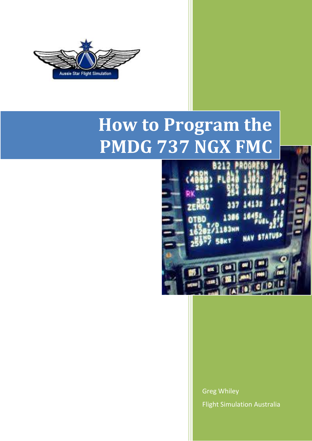

# **How to Program the PMDG 737 NGX FMC**



Greg Whiley Flight Simulation Australia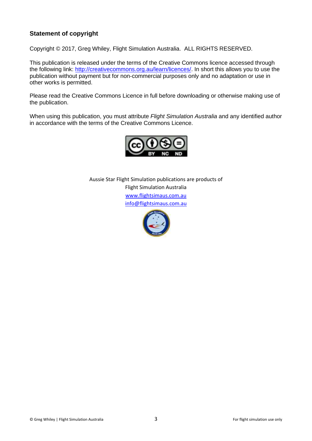# **Statement of copyright**

Copyright © 2017, Greg Whiley, Flight Simulation Australia. ALL RIGHTS RESERVED.

This publication is released under the terms of the Creative Commons licence accessed through the following link: [http://creativecommons.org.au/learn/licences/.](http://creativecommons.org.au/learn/licences/) In short this allows you to use the publication without payment but for non-commercial purposes only and no adaptation or use in other works is permitted.

Please read the Creative Commons Licence in full before downloading or otherwise making use of the publication.

When using this publication, you must attribute *Flight Simulation Australia* and any identified author in accordance with the terms of the Creative Commons Licence.



Aussie Star Flight Simulation publications are products of Flight Simulation Australia [www.flightsimaus.com.au](http://www.flightsimaus.com.au/) <info@flightsimaus.com.au>

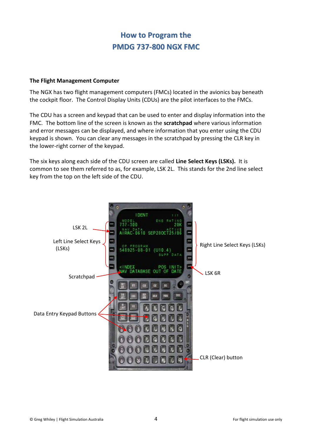# **How to Program the PMDG 737-800 NGX FMC**

# **The Flight Management Computer**

The NGX has two flight management computers (FMCs) located in the avionics bay beneath the cockpit floor. The Control Display Units (CDUs) are the pilot interfaces to the FMCs.

The CDU has a screen and keypad that can be used to enter and display information into the FMC. The bottom line of the screen is known as the **scratchpad** where various information and error messages can be displayed, and where information that you enter using the CDU keypad is shown. You can clear any messages in the scratchpad by pressing the CLR key in the lower-right corner of the keypad.

The six keys along each side of the CDU screen are called **Line Select Keys (LSKs).** It is common to see them referred to as, for example, LSK 2L. This stands for the 2nd line select key from the top on the left side of the CDU.

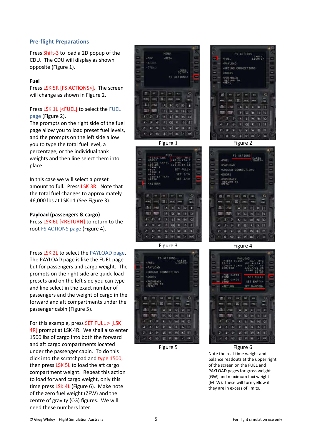# **Pre-flight Preparations**

Press Shift-3 to load a 2D popup of the CDU. The CDU will display as shown opposite (Figure 1).

#### **Fuel**

Press LSK 5R [FS ACTIONS>]. The screen will change as shown in Figure 2.

## Press LSK 1L [<FUEL] to select the FUEL page (Figure 2).

The prompts on the right side of the fuel page allow you to load preset fuel levels, and the prompts on the left side allow you to type the total fuel level, a percentage, or the individual tank weights and then line select them into place.

In this case we will select a preset amount to full. Press LSK 3R. Note that the total fuel changes to approximately 46,000 lbs at LSK L1 (See Figure 3).

#### **Payload (passengers & cargo)**

Press LSK 6L [<RETURN] to return to the root FS ACTIONS page (Figure 4).

Press LSK 2L to select the PAYLOAD page. The PAYLOAD page is like the FUEL page but for passengers and cargo weight. The prompts on the right side are quick-load presets and on the left side you can type and line select in the exact number of passengers and the weight of cargo in the forward and aft compartments under the passenger cabin (Figure 5).

For this example, press SET FULL > [LSK 4R] prompt at LSK 4R. We shall also enter 1500 lbs of cargo into both the forward and aft cargo compartments located under the passenger cabin. To do this click into the scratchpad and type 1500, then press LSK 5L to load the aft cargo compartment weight. Repeat this action to load forward cargo weight, only this time press LSK 4L (Figure 6). Make note of the zero fuel weight (ZFW) and the centre of gravity (CG) figures. We will need these numbers later.











Figure 3 Figure 4



Figure 5 Figure 6 Note the real-time weight and balance readouts at the upper right of the screen on the FUEL and PAYLOAD pages for gross weight (GW) and maximum taxi weight (MTW). These will turn yellow if they are in excess of limits.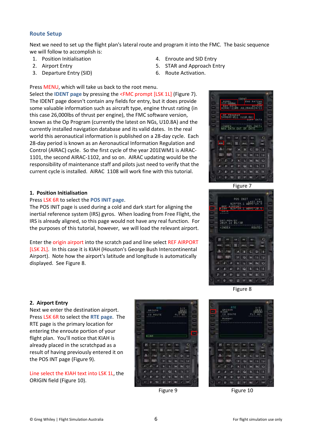# **Route Setup**

Next we need to set up the flight plan's lateral route and program it into the FMC. The basic sequence we will follow to accomplish is:

- 1. Position Initialisation
- 2. Airport Entry
- 3. Departure Entry (SID)
- 4. Enroute and SID Entry
- 5. STAR and Approach Entry
- 6. Route Activation.

Press MENU, which will take us back to the root menu. Select the **IDENT page** by pressing the <FMC prompt [LSK 1L] (Figure 7). The IDENT page doesn't contain any fields for entry, but it does provide some valuable information such as aircraft type, engine thrust rating (in this case 26,000lbs of thrust per engine), the FMC software version, known as the Op Program (currently the latest on NGs, U10.8A) and the currently installed navigation database and its valid dates. In the real world this aeronautical information is published on a 28-day cycle. Each 28-day period is known as an Aeronautical Information Regulation and Control (AIRAC) cycle. So the first cycle of the year 201EWM1 is AIRAC-1101, the second AIRAC-1102, and so on. AIRAC updating would be the responsibility of maintenance staff and pilots just need to verify that the current cycle is installed. AIRAC 1108 will work fine with this tutorial.

#### **1. Position Initialisation**

#### Press LSK 6R to select the **POS INIT page**.

The POS INIT page is used during a cold and dark start for aligning the inertial reference system (IRS) gyros. When loading from Free Flight, the IRS is already aligned, so this page would not have any real function. For the purposes of this tutorial, however, we will load the relevant airport.

Enter the origin airport into the scratch pad and line select REF AIRPORT [LSK 2L]. In this case it is KIAH (Houston's George Bush Intercontinental Airport). Note how the airport's latitude and longitude is automatically displayed. See Figure 8.



Figure 7



#### **2. Airport Entry**

Next we enter the destination airport. Press LSK 6R to select the **RTE page**. The RTE page is the primary location for entering the enroute portion of your flight plan. You'll notice that KIAH is already placed in the scratchpad as a result of having previously entered it on the POS INT page (Figure 9).

Line select the KIAH text into LSK 1L, the ORIGIN field (Figure 10).



Figure 8



Figure 9 Figure 10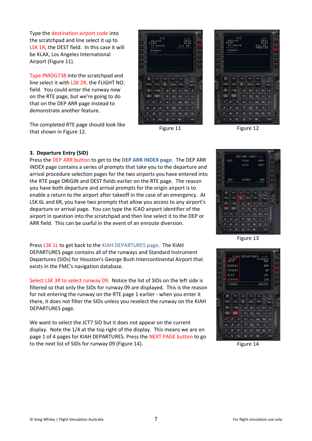Type the destination airport code into the scratchpad and line select it up to LSK 1R, the DEST field. In this case it will be KLAX, Los Angeles International Airport (Figure 11).

Type PMDG738 into the scratchpad and line select it with LSK 2R, the FLIGHT NO. field. You could enter the runway now on the RTE page, but we're going to do that on the DEP ARR page instead to demonstrate another feature.

The completed RTE page should look like that shown in Figure 12.<br>
Figure 11 Figure 12 Figure 12 Figure 12.





### **3. Departure Entry (SID)**

Press the DEP ARR button to get to the **DEP ARR INDEX page**. The DEP ARR INDEX page contains a series of prompts that take you to the departure and arrival procedure selection pages for the two airports you have entered into the RTE page ORIGIN and DEST fields earlier on the RTE page. The reason you have both departure and arrival prompts for the origin airport is to enable a return to the airport after takeoff in the case of an emergency. At LSK 6L and 6R, you have two prompts that allow you access to any airport's departure or arrival page. You can type the ICAO airport identifier of the airport in question into the scratchpad and then line select it to the DEP or ARR field. This can be useful in the event of an enroute diversion.

Press LSK 1L to get back to the KIAH DEPARTURES page. The KIAH DEPARTURES page contains all of the runways and Standard Instrument Departures (SIDs) for Houston's George Bush Intercontinental Airport that exists in the FMC's navigation database.

Select LSK 3R to select runway 09. Notice the list of SIDs on the left side is filtered so that only the SIDs for runway 09 are displayed. This is the reason for not entering the runway on the RTE page 1 earlier - when you enter it there, it does not filter the SIDs unless you reselect the runway on the KIAH DEPARTURES page.

We want to select the JCT7 SID but it does not appear on the current display. Note the 1/4 at the top right of the display. This means we are on page 1 of 4 pages for KIAH DEPARTURES. Press the NEXT PAGE button to go to the next list of SIDs for runway 09 (Figure 14). Figure 14



Figure 13

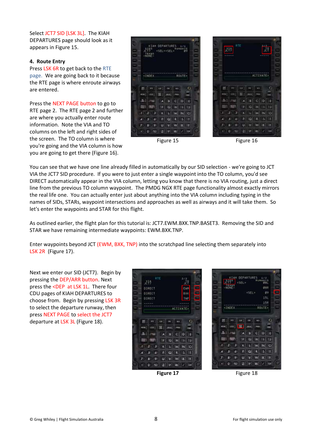Select JCT7 SID [LSK 3L]. The KIAH DEPARTURES page should look as it appears in Figure 15.

### **4. Route Entry**

Press LSK 6R to get back to the RTE page. We are going back to it because the RTE page is where enroute airways are entered.

Press the NEXT PAGE button to go to RTE page 2. The RTE page 2 and further are where you actually enter route information. Note the VIA and TO columns on the left and right sides of the screen. The TO column is where you're going and the VIA column is how you are going to get there (Figure 16).





詳

Figure 15 Figure 16

You can see that we have one line already filled in automatically by our SID selection - we're going to JCT VIA the JCT7 SID procedure. If you were to just enter a single waypoint into the TO column, you'd see DIRECT automatically appear in the VIA column, letting you know that there is no VIA routing, just a direct line from the previous TO column waypoint. The PMDG NGX RTE page functionality almost exactly mirrors the real life one. You can actually enter just about anything into the VIA column including typing in the names of SIDs, STARs, waypoint intersections and approaches as well as airways and it will take them. So let's enter the waypoints and STAR for this flight.

As outlined earlier, the flight plan for this tutorial is: JCT7.EWM.BXK.TNP.BASET3. Removing the SID and STAR we have remaining intermediate waypoints: EWM.BXK.TNP.

Enter waypoints beyond JCT (EWM, BXK, TNP) into the scratchpad line selecting them separately into LSK 2R (Figure 17).

Next we enter our SID (JCT7). Begin by pressing the DEP/ARR button. Next press the <DEP at LSK 1L. There four CDU pages of KIAH DEPARTURES to choose from. Begin by pressing LSK 3R to select the departure runway, then press NEXT PAGE to select the JCT7 departure at LSK 3L (Figure 18).





**IAH DEPARTUR** <SEL **KSFI** 153 168 CTNDEX ROUTE The Line Line Line  $\circ$ (ass) **ING** ana) **Figgs CEIDETE**  $113.4$ w l B THE FIFE FOR 19,000 а **ILI** MINIO  $\vert$ <sub>P</sub>  $\vert$  O  $|R|$  | S | T  $\overline{\bullet}$  $U = V$   $W = X$   $Y$  $\overline{\phantom{a}}$  $B$  $0 \times 2$  |  $|w|$  |  $|v|$  |  $w$ |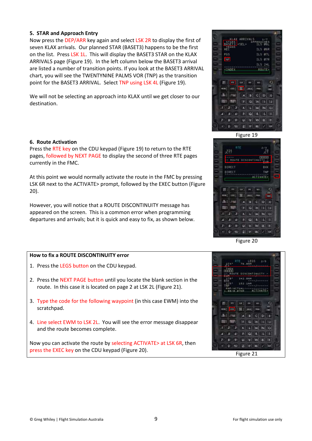#### **5. STAR and Approach Entry**

Now press the DEP/ARR key again and select LSK 2R to display the first of seven KLAX arrivals. Our planned STAR (BASET3) happens to be the first on the list. Press LSK 1L. This will display the BASET3 STAR on the KLAX ARRIVALS page (Figure 19). In the left column below the BASET3 arrival are listed a number of transition points. If you look at the BASET3 ARRIVAL chart, you will see the TWENTYNINE PALMS VOR (TNP) as the transition point for the BASET3 ARRIVAL. Select TNP using LSK 4L (Figure 19).

We will not be selecting an approach into KLAX until we get closer to our destination.

#### **6. Route Activation**

Press the RTE key on the CDU keypad (Figure 19) to return to the RTE pages, followed by NEXT PAGE to display the second of three RTE pages currently in the FMC.

At this point we would normally activate the route in the FMC by pressing LSK 6R next to the ACTIVATE> prompt, followed by the EXEC button (Figure 20).

However, you will notice that a ROUTE DISCONTINUITY message has appeared on the screen. This is a common error when programming departures and arrivals; but it is quick and easy to fix, as shown below.

### **How to fix a ROUTE DISCONTINUITY error**

- 1. Press the LEGS button on the CDU keypad.
- 2. Press the NEXT PAGE button until you locate the blank section in the route. In this case it is located on page 2 at LSK 2L (Figure 21).
- 3. Type the code for the following waypoint (in this case EWM) into the scratchpad.
- 4. Line select EWM to LSK 2L. You will see the error message disappear and the route becomes complete.

Now you can activate the route by selecting ACTIVATE> at LSK 6R, then press the EXEC key on the CDU keypad (Figure 20). Figure 21





Figure 20

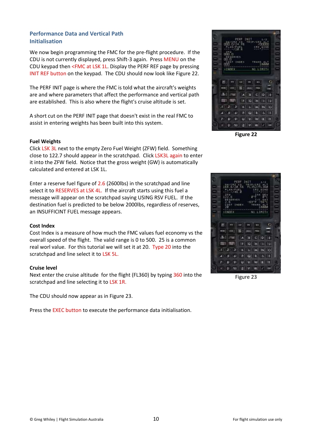# **Performance Data and Vertical Path Initialisation**

We now begin programming the FMC for the pre-flight procedure. If the CDU is not currently displayed, press Shift-3 again. Press MENU on the CDU keypad then <FMC at LSK 1L. Display the PERF REF page by pressing INIT REF button on the keypad. The CDU should now look like Figure 22.

The PERF INIT page is where the FMC is told what the aircraft's weights are and where parameters that affect the performance and vertical path are established. This is also where the flight's cruise altitude is set.

A short cut on the PERF INIT page that doesn't exist in the real FMC to assist in entering weights has been built into this system.

### **Fuel Weights**

Click LSK 3L next to the empty Zero Fuel Weight (ZFW) field. Something close to 122.7 should appear in the scratchpad. Click LSK3L again to enter it into the ZFW field. Notice that the gross weight (GW) is automatically calculated and entered at LSK 1L.

Enter a reserve fuel figure of 2.6 (2600lbs) in the scratchpad and line select it to RESERVES at LSK 4L. If the aircraft starts using this fuel a message will appear on the scratchpad saying USING RSV FUEL. If the destination fuel is predicted to be below 2000lbs, regardless of reserves, an INSUFFICINT FUEL message appears.

#### **Cost Index**

Cost Index is a measure of how much the FMC values fuel economy vs the overall speed of the flight. The valid range is 0 to 500. 25 is a common real worl value. For this tutorial we will set it at 20. Type 20 into the scratchpad and line select it to LSK 5L.

### **Cruise level**

Next enter the cruise altitude for the flight (FL360) by typing 360 into the scratchpad and line selecting it to LSK 1R.

The CDU should now appear as in Figure 23.

Press the EXEC button to execute the performance data initialisation.

**Figure 22**



Figure 23

**TELE** The TT Late  $|D|$ П÷  $|S||T|$  $\omega$ **MI WI W**  $2$   $9$   $a$   $x$   $y$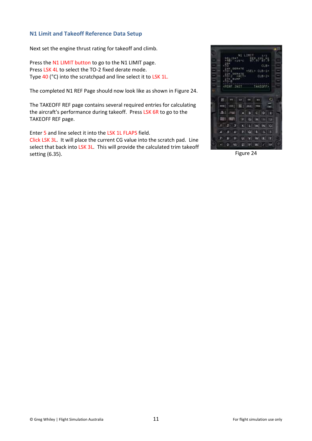# **N1 Limit and Takeoff Reference Data Setup**

Next set the engine thrust rating for takeoff and climb.

Press the N1 LIMIT button to go to the N1 LIMIT page. Press LSK 4L to select the TO-2 fixed derate mode. Type 40 (°C) into the scratchpad and line select it to LSK 1L.

The completed N1 REF Page should now look like as shown in Figure 24.

The TAKEOFF REF page contains several required entries for calculating the aircraft's performance during takeoff. Press LSK 6R to go to the TAKEOFF REF page.

Enter 5 and line select it into the LSK 1L FLAPS field.

Click LSK 3L. It will place the current CG value into the scratch pad. Line select that back into LSK 3L. This will provide the calculated trim takeoff setting (6.35). Figure 24

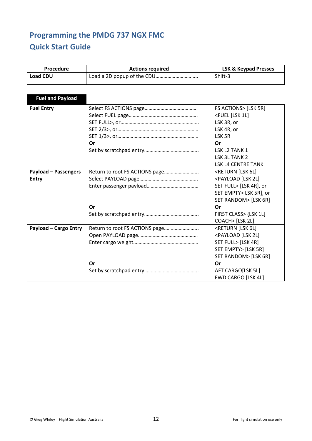# **Programming the PMDG 737 NGX FMC Quick Start Guide**

| Procedure                    | <b>Actions required</b> | <b>LSK &amp; Keypad Presses</b>           |
|------------------------------|-------------------------|-------------------------------------------|
| <b>Load CDU</b>              |                         | Shift-3                                   |
|                              |                         |                                           |
|                              |                         |                                           |
| <b>Fuel and Payload</b>      |                         |                                           |
| <b>Fuel Entry</b>            |                         | FS ACTIONS> [LSK 5R]                      |
|                              |                         | <fuel 1l]<="" [lsk="" th=""></fuel>       |
|                              |                         | LSK 3R, or                                |
|                              |                         | LSK 4R, or                                |
|                              |                         | LSK 5R                                    |
|                              | Or                      | Or                                        |
|                              |                         | LSK L2 TANK 1                             |
|                              |                         | LSK 3L TANK 2                             |
|                              |                         | LSK L4 CENTRE TANK                        |
| <b>Payload - Passengers</b>  |                         | <return 6l]<="" [lsk="" th=""></return>   |
| <b>Entry</b>                 |                         | <payload 2l]<="" [lsk="" th=""></payload> |
|                              |                         | SET FULL> [LSK 4R], or                    |
|                              |                         | SET EMPTY> LSK 5R], or                    |
|                              |                         | SET RANDOM> [LSK 6R]                      |
|                              | Or                      | Or                                        |
|                              |                         | FIRST CLASS> {LSK 1L]                     |
|                              |                         | COACH> [LSK 2L]                           |
| <b>Payload - Cargo Entry</b> |                         | <return 6l]<="" [lsk="" th=""></return>   |
|                              |                         | <payload 2l]<="" [lsk="" th=""></payload> |
|                              |                         | SET FULL> [LSK 4R]                        |
|                              |                         | SET EMPTY> [LSK 5R]                       |
|                              |                         | SET RANDOM> [LSK 6R]                      |
|                              | Or                      | Or                                        |
|                              |                         | AFT CARGO[LSK 5L]                         |
|                              |                         | FWD CARGO [LSK 4L]                        |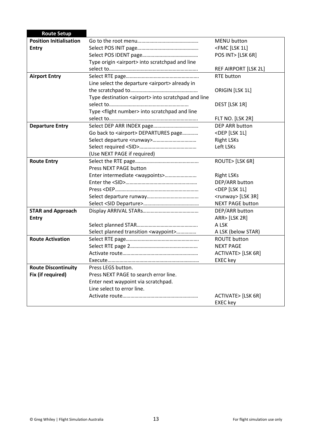| <b>Route Setup</b>             |                                                               |                                   |
|--------------------------------|---------------------------------------------------------------|-----------------------------------|
| <b>Position Initialisation</b> |                                                               | <b>MENU</b> button                |
| <b>Entry</b>                   |                                                               | <fmc 1l]<="" [lsk="" th=""></fmc> |
|                                |                                                               | POS INT> [LSK 6R]                 |
|                                | Type origin <airport> into scratchpad and line</airport>      |                                   |
|                                |                                                               | REF AIRPORT [LSK 2L]              |
| <b>Airport Entry</b>           |                                                               | <b>RTE button</b>                 |
|                                | Line select the departure <airport> already in</airport>      |                                   |
|                                |                                                               | ORIGIN [LSK 1L]                   |
|                                | Type destination <airport> into scratchpad and line</airport> |                                   |
|                                |                                                               | DEST [LSK 1R]                     |
|                                | Type <flight number=""> into scratchpad and line</flight>     |                                   |
|                                |                                                               | FLT NO. [LSK 2R]                  |
| <b>Departure Entry</b>         |                                                               | DEP ARR button                    |
|                                | Go back to <airport> DEPARTURES page</airport>                | <dep 1l]<="" [lsk="" th=""></dep> |
|                                |                                                               | <b>Right LSKs</b>                 |
|                                |                                                               | Left LSKs                         |
|                                | (Use NEXT PAGE if required)                                   |                                   |
| <b>Route Entry</b>             |                                                               | ROUTE> [LSK 6R]                   |
|                                | Press NEXT PAGE button                                        |                                   |
|                                | Enter intermediate <waypoints></waypoints>                    | <b>Right LSKs</b>                 |
|                                |                                                               | DEP/ARR button                    |
|                                |                                                               | <dep 1l]<="" [lsk="" th=""></dep> |
|                                |                                                               | <runway> [LSK 3R]</runway>        |
|                                |                                                               | <b>NEXT PAGE button</b>           |
| <b>STAR and Approach</b>       |                                                               | DEP/ARR button                    |
| <b>Entry</b>                   |                                                               | ARR> [LSK 2R]                     |
|                                |                                                               | A LSK                             |
|                                | Select planned transition <waypoint></waypoint>               | A LSK (below STAR)                |
| <b>Route Activation</b>        |                                                               | <b>ROUTE button</b>               |
|                                |                                                               | <b>NEXT PAGE</b>                  |
|                                |                                                               | ACTIVATE> [LSK 6R]                |
|                                |                                                               | <b>EXEC</b> key                   |
| <b>Route Discontinuity</b>     | Press LEGS button.                                            |                                   |
| Fix (if required)              | Press NEXT PAGE to search error line.                         |                                   |
|                                | Enter next waypoint via scratchpad.                           |                                   |
|                                | Line select to error line.                                    |                                   |
|                                |                                                               | ACTIVATE> [LSK 6R]                |
|                                |                                                               | <b>EXEC key</b>                   |